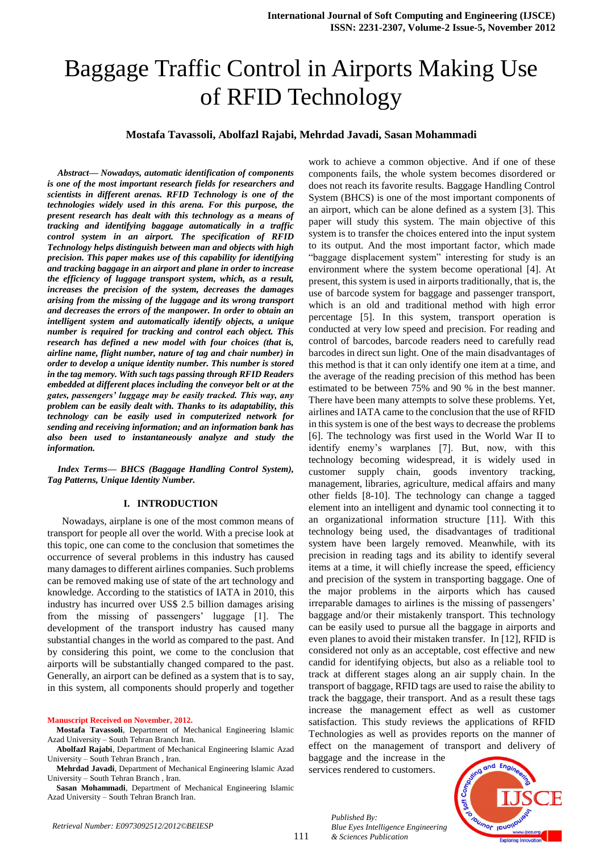# Baggage Traffic Control in Airports Making Use of RFID Technology

#### **Mostafa Tavassoli, Abolfazl Rajabi, Mehrdad Javadi, Sasan Mohammadi**

*Abstract— Nowadays, automatic identification of components is one of the most important research fields for researchers and scientists in different arenas. RFID Technology is one of the technologies widely used in this arena. For this purpose, the present research has dealt with this technology as a means of tracking and identifying baggage automatically in a traffic control system in an airport. The specification of RFID Technology helps distinguish between man and objects with high precision. This paper makes use of this capability for identifying and tracking baggage in an airport and plane in order to increase the efficiency of luggage transport system, which, as a result, increases the precision of the system, decreases the damages arising from the missing of the luggage and its wrong transport and decreases the errors of the manpower. In order to obtain an intelligent system and automatically identify objects, a unique number is required for tracking and control each object. This research has defined a new model with four choices (that is, airline name, flight number, nature of tag and chair number) in order to develop a unique identity number. This number is stored in the tag memory. With such tags passing through RFID Readers embedded at different places including the conveyor belt or at the gates, passengers' luggage may be easily tracked. This way, any problem can be easily dealt with. Thanks to its adaptability, this technology can be easily used in computerized network for sending and receiving information; and an information bank has also been used to instantaneously analyze and study the information.*

*Index Terms— BHCS (Baggage Handling Control System), Tag Patterns, Unique Identity Number.*

#### **I. INTRODUCTION**

Nowadays, airplane is one of the most common means of transport for people all over the world. With a precise look at this topic, one can come to the conclusion that sometimes the occurrence of several problems in this industry has caused many damages to different airlines companies. Such problems can be removed making use of state of the art technology and knowledge. According to the statistics of IATA in 2010, this industry has incurred over US\$ 2.5 billion damages arising from the missing of passengers' luggage [1]. The development of the transport industry has caused many substantial changes in the world as compared to the past. And by considering this point, we come to the conclusion that airports will be substantially changed compared to the past. Generally, an airport can be defined as a system that is to say, in this system, all components should properly and together

**Manuscript Received on November, 2012.**

**Mehrdad Javadi**, Department of Mechanical Engineering Islamic Azad University – South Tehran Branch , Iran.

**Sasan Mohammadi**, Department of Mechanical Engineering Islamic Azad University – South Tehran Branch Iran.

work to achieve a common objective. And if one of these components fails, the whole system becomes disordered or does not reach its favorite results. Baggage Handling Control System (BHCS) is one of the most important components of an airport, which can be alone defined as a system [3]. This paper will study this system. The main objective of this system is to transfer the choices entered into the input system to its output. And the most important factor, which made "baggage displacement system" interesting for study is an environment where the system become operational [4]. At present, this system is used in airports traditionally, that is, the use of barcode system for baggage and passenger transport, which is an old and traditional method with high error percentage [5]. In this system, transport operation is conducted at very low speed and precision. For reading and control of barcodes, barcode readers need to carefully read barcodes in direct sun light. One of the main disadvantages of this method is that it can only identify one item at a time, and the average of the reading precision of this method has been estimated to be between 75% and 90 % in the best manner. There have been many attempts to solve these problems. Yet, airlines and IATA came to the conclusion that the use of RFID in this system is one of the best ways to decrease the problems [6]. The technology was first used in the World War II to identify enemy's warplanes [7]. But, now, with this technology becoming widespread, it is widely used in customer supply chain, goods inventory tracking, management, libraries, agriculture, medical affairs and many other fields [8-10]. The technology can change a tagged element into an intelligent and dynamic tool connecting it to an organizational information structure [11]. With this technology being used, the disadvantages of traditional system have been largely removed. Meanwhile, with its precision in reading tags and its ability to identify several items at a time, it will chiefly increase the speed, efficiency and precision of the system in transporting baggage. One of the major problems in the airports which has caused irreparable damages to airlines is the missing of passengers' baggage and/or their mistakenly transport. This technology can be easily used to pursue all the baggage in airports and even planes to avoid their mistaken transfer. In [12], RFID is considered not only as an acceptable, cost effective and new candid for identifying objects, but also as a reliable tool to track at different stages along an air supply chain. In the transport of baggage, RFID tags are used to raise the ability to track the baggage, their transport. And as a result these tags increase the management effect as well as customer satisfaction. This study reviews the applications of RFID Technologies as well as provides reports on the manner of effect on the management of transport and delivery of

baggage and the increase in the services rendered to customers.

*Published By:*

*& Sciences Publication* 



*Retrieval Number: E0973092512/2012©BEIESP*

**Mostafa Tavassoli**, Department of Mechanical Engineering Islamic Azad University – South Tehran Branch Iran.

**Abolfazl Rajabi**, Department of Mechanical Engineering Islamic Azad University – South Tehran Branch , Iran.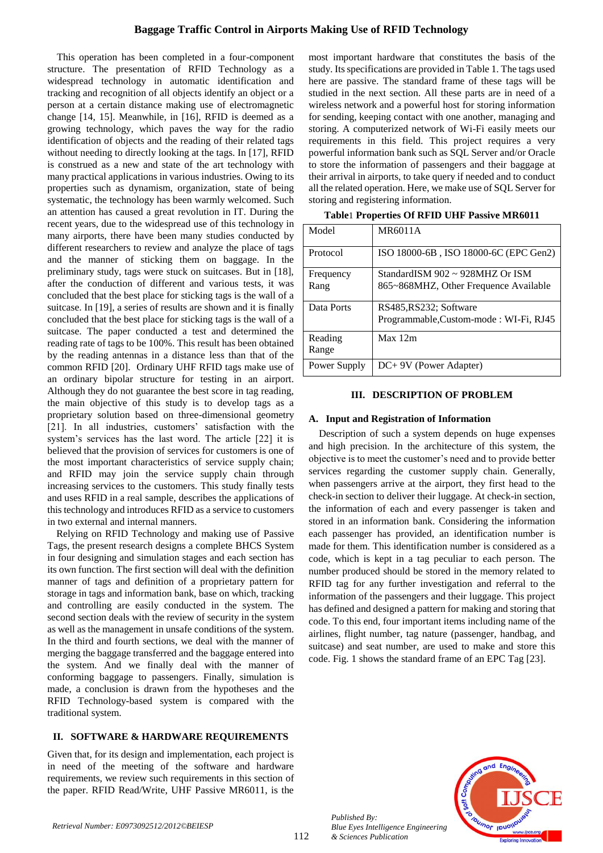## **Baggage Traffic Control in Airports Making Use of RFID Technology**

This operation has been completed in a four-component structure. The presentation of RFID Technology as a widespread technology in automatic identification and tracking and recognition of all objects identify an object or a person at a certain distance making use of electromagnetic change [14, 15]. Meanwhile, in [16], RFID is deemed as a growing technology, which paves the way for the radio identification of objects and the reading of their related tags without needing to directly looking at the tags. In [17], RFID is construed as a new and state of the art technology with many practical applications in various industries. Owing to its properties such as dynamism, organization, state of being systematic, the technology has been warmly welcomed. Such an attention has caused a great revolution in IT. During the recent years, due to the widespread use of this technology in many airports, there have been many studies conducted by different researchers to review and analyze the place of tags and the manner of sticking them on baggage. In the preliminary study, tags were stuck on suitcases. But in [18], after the conduction of different and various tests, it was concluded that the best place for sticking tags is the wall of a suitcase. In [19], a series of results are shown and it is finally concluded that the best place for sticking tags is the wall of a suitcase. The paper conducted a test and determined the reading rate of tags to be 100%. This result has been obtained by the reading antennas in a distance less than that of the common RFID [20]. Ordinary UHF RFID tags make use of an ordinary bipolar structure for testing in an airport. Although they do not guarantee the best score in tag reading, the main objective of this study is to develop tags as a proprietary solution based on three-dimensional geometry [21]. In all industries, customers' satisfaction with the system's services has the last word. The article [22] it is believed that the provision of services for customers is one of the most important characteristics of service supply chain; and RFID may join the service supply chain through increasing services to the customers. This study finally tests and uses RFID in a real sample, describes the applications of this technology and introduces RFID as a service to customers in two external and internal manners.

Relying on RFID Technology and making use of Passive Tags, the present research designs a complete BHCS System in four designing and simulation stages and each section has its own function. The first section will deal with the definition manner of tags and definition of a proprietary pattern for storage in tags and information bank, base on which, tracking and controlling are easily conducted in the system. The second section deals with the review of security in the system as well as the management in unsafe conditions of the system. In the third and fourth sections, we deal with the manner of merging the baggage transferred and the baggage entered into the system. And we finally deal with the manner of conforming baggage to passengers. Finally, simulation is made, a conclusion is drawn from the hypotheses and the RFID Technology-based system is compared with the traditional system.

## **II. SOFTWARE & HARDWARE REQUIREMENTS**

Given that, for its design and implementation, each project is in need of the meeting of the software and hardware requirements, we review such requirements in this section of the paper. RFID Read/Write, UHF Passive MR6011, is the most important hardware that constitutes the basis of the study. Its specifications are provided in Table 1. The tags used here are passive. The standard frame of these tags will be studied in the next section. All these parts are in need of a wireless network and a powerful host for storing information for sending, keeping contact with one another, managing and storing. A computerized network of Wi-Fi easily meets our requirements in this field. This project requires a very powerful information bank such as SQL Server and/or Oracle to store the information of passengers and their baggage at their arrival in airports, to take query if needed and to conduct all the related operation. Here, we make use of SQL Server for storing and registering information.

| Model        | <b>MR6011A</b>                           |
|--------------|------------------------------------------|
| Protocol     | ISO 18000-6B, ISO 18000-6C (EPC Gen2)    |
| Frequency    | StandardISM $902 \approx 928$ MHZ Or ISM |
| Rang         | 865~868MHZ, Other Frequence Available    |
| Data Ports   | RS485, RS232; Software                   |
|              | Programmable, Custom-mode: WI-Fi, RJ45   |
| Reading      | Max 12m                                  |
| Range        |                                          |
| Power Supply | DC+9V (Power Adapter)                    |

**Table**1 **Properties Of RFID UHF Passive MR6011**

#### **III. DESCRIPTION OF PROBLEM**

#### **A. Input and Registration of Information**

Description of such a system depends on huge expenses and high precision. In the architecture of this system, the objective is to meet the customer's need and to provide better services regarding the customer supply chain. Generally, when passengers arrive at the airport, they first head to the check-in section to deliver their luggage. At check-in section, the information of each and every passenger is taken and stored in an information bank. Considering the information each passenger has provided, an identification number is made for them. This identification number is considered as a code, which is kept in a tag peculiar to each person. The number produced should be stored in the memory related to RFID tag for any further investigation and referral to the information of the passengers and their luggage. This project has defined and designed a pattern for making and storing that code. To this end, four important items including name of the airlines, flight number, tag nature (passenger, handbag, and suitcase) and seat number, are used to make and store this code. Fig. 1 shows the standard frame of an EPC Tag [23].



112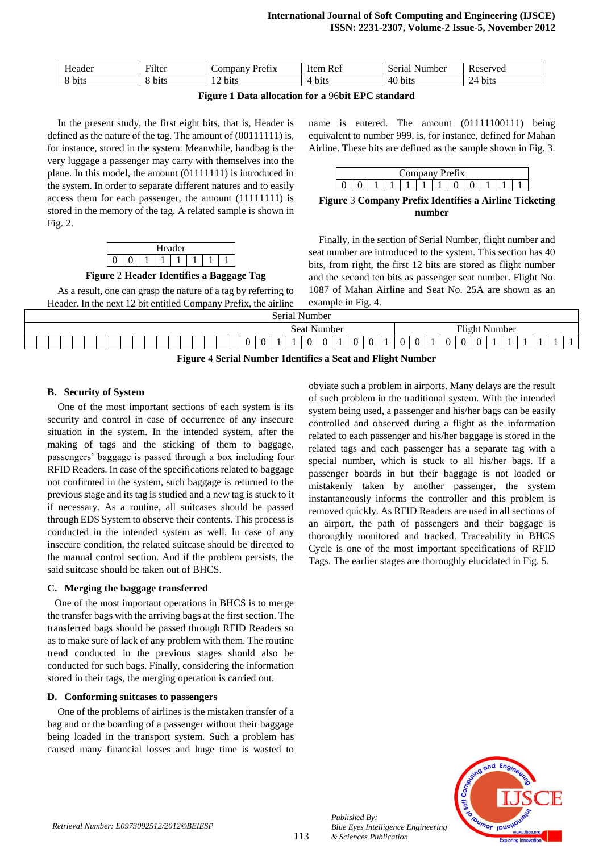| $\mathbf{v}$<br>Header | $T^{\ast}$<br>Filter | $\sim$<br>Company<br>Pref <sub>1X</sub> | $\mathbf{r}$<br>Ref<br>ttem | $\sim$<br>Serial<br>Number | Reserved                          |
|------------------------|----------------------|-----------------------------------------|-----------------------------|----------------------------|-----------------------------------|
| $^{\circ}$ 1<br>8 bits | b <sub>1</sub> ts    | $\sim$ 1<br>bits                        | $\mathbf{I}$<br>bits<br>71  | 40<br><b>bits</b>          | $2\pi$<br>b <sub>1</sub> ts<br>∠⊣ |

### **Figure 1 Data allocation for a** 96**bit EPC standard**

In the present study, the first eight bits, that is, Header is defined as the nature of the tag. The amount of (00111111) is, for instance, stored in the system. Meanwhile, handbag is the very luggage a passenger may carry with themselves into the plane. In this model, the amount (01111111) is introduced in the system. In order to separate different natures and to easily access them for each passenger, the amount (11111111) is stored in the memory of the tag. A related sample is shown in Fig. 2.



**Figure** 2 **Header Identifies a Baggage Tag**

As a result, one can grasp the nature of a tag by referring to Header. In the next 12 bit entitled Company Prefix, the airline

name is entered. The amount (01111100111) being equivalent to number 999, is, for instance, defined for Mahan Airline. These bits are defined as the sample shown in Fig. 3.

| $\sim$<br>$+$<br>-------- |  |  |  |  |  |  |  |  |  |  |  |
|---------------------------|--|--|--|--|--|--|--|--|--|--|--|
|                           |  |  |  |  |  |  |  |  |  |  |  |

**Figure** 3 **Company Prefix Identifies a Airline Ticketing number**

Finally, in the section of Serial Number, flight number and seat number are introduced to the system. This section has 40 bits, from right, the first 12 bits are stored as flight number and the second ten bits as passenger seat number. Flight No. 1087 of Mahan Airline and Seat No. 25A are shown as an example in Fig. 4.

| Serial Number                                              |             |               |  |  |  |  |  |  |
|------------------------------------------------------------|-------------|---------------|--|--|--|--|--|--|
|                                                            | Seat Number | Flight Number |  |  |  |  |  |  |
|                                                            |             | $\Omega$      |  |  |  |  |  |  |
| Figure 4 Serial Number Identifies a Seat and Flight Number |             |               |  |  |  |  |  |  |

## **B. Security of System**

One of the most important sections of each system is its security and control in case of occurrence of any insecure situation in the system. In the intended system, after the making of tags and the sticking of them to baggage, passengers' baggage is passed through a box including four RFID Readers. In case of the specifications related to baggage not confirmed in the system, such baggage is returned to the previous stage and its tag is studied and a new tag is stuck to it if necessary. As a routine, all suitcases should be passed through EDS System to observe their contents. This process is conducted in the intended system as well. In case of any insecure condition, the related suitcase should be directed to the manual control section. And if the problem persists, the said suitcase should be taken out of BHCS.

#### **C. Merging the baggage transferred**

One of the most important operations in BHCS is to merge the transfer bags with the arriving bags at the first section. The transferred bags should be passed through RFID Readers so as to make sure of lack of any problem with them. The routine trend conducted in the previous stages should also be conducted for such bags. Finally, considering the information stored in their tags, the merging operation is carried out.

#### **D. Conforming suitcases to passengers**

One of the problems of airlines is the mistaken transfer of a bag and or the boarding of a passenger without their baggage being loaded in the transport system. Such a problem has caused many financial losses and huge time is wasted to obviate such a problem in airports. Many delays are the result of such problem in the traditional system. With the intended system being used, a passenger and his/her bags can be easily controlled and observed during a flight as the information related to each passenger and his/her baggage is stored in the related tags and each passenger has a separate tag with a special number, which is stuck to all his/her bags. If a passenger boards in but their baggage is not loaded or mistakenly taken by another passenger, the system instantaneously informs the controller and this problem is removed quickly. As RFID Readers are used in all sections of an airport, the path of passengers and their baggage is thoroughly monitored and tracked. Traceability in BHCS Cycle is one of the most important specifications of RFID Tags. The earlier stages are thoroughly elucidated in Fig. 5.



*Published By:*

*& Sciences Publication*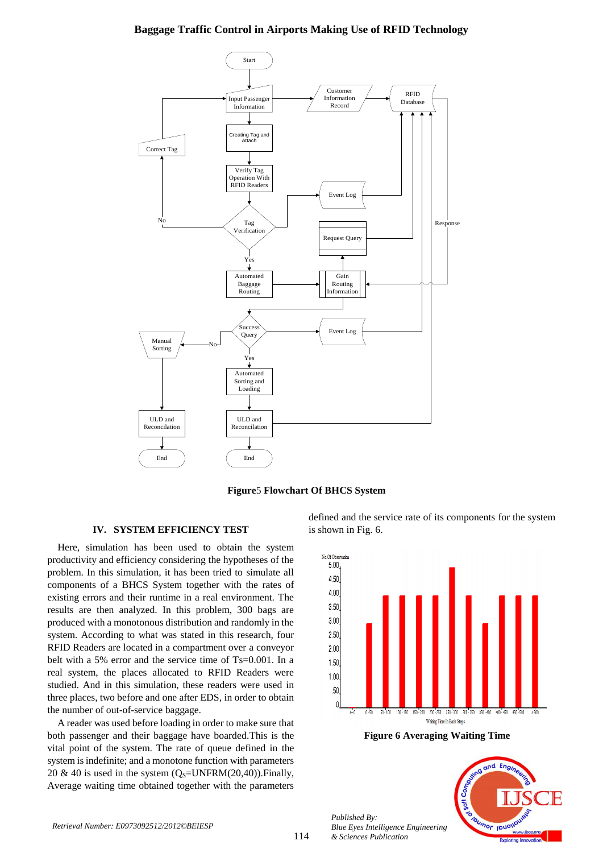## **Baggage Traffic Control in Airports Making Use of RFID Technology**





## **IV. SYSTEM EFFICIENCY TEST**

Here, simulation has been used to obtain the system productivity and efficiency considering the hypotheses of the problem. In this simulation, it has been tried to simulate all components of a BHCS System together with the rates of existing errors and their runtime in a real environment. The results are then analyzed. In this problem, 300 bags are produced with a monotonous distribution and randomly in the system. According to what was stated in this research, four RFID Readers are located in a compartment over a conveyor belt with a 5% error and the service time of Ts=0.001. In a real system, the places allocated to RFID Readers were studied. And in this simulation, these readers were used in three places, two before and one after EDS, in order to obtain the number of out-of-service baggage.

A reader was used before loading in order to make sure that both passenger and their baggage have boarded.This is the vital point of the system. The rate of queue defined in the system is indefinite; and a monotone function with parameters 20 & 40 is used in the system  $(O_s=UNFRM(20,40))$ . Finally, Average waiting time obtained together with the parameters

defined and the service rate of its components for the system is shown in Fig. 6.



**Figure 6 Averaging Waiting Time**



*Published By:*

*& Sciences Publication*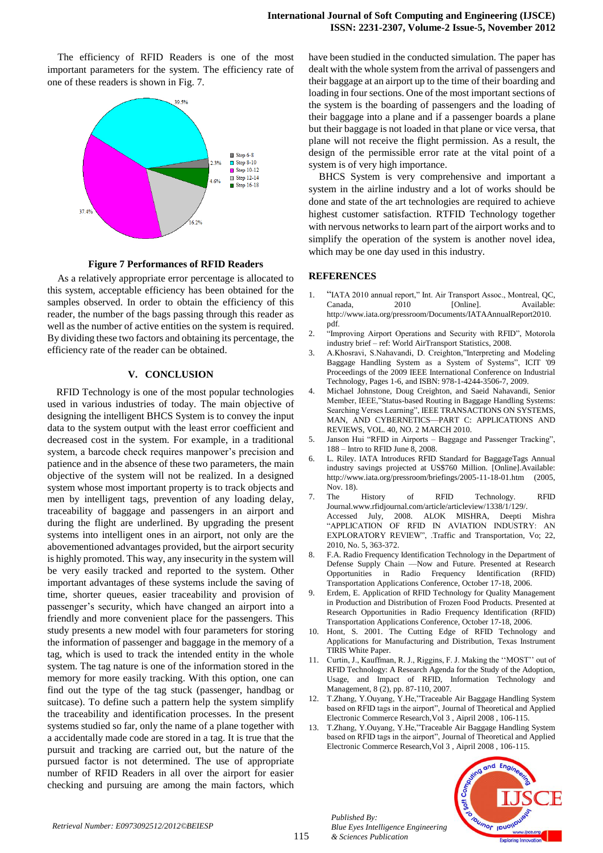The efficiency of RFID Readers is one of the most important parameters for the system. The efficiency rate of one of these readers is shown in Fig. 7.



**Figure 7 Performances of RFID Readers**

As a relatively appropriate error percentage is allocated to this system, acceptable efficiency has been obtained for the samples observed. In order to obtain the efficiency of this reader, the number of the bags passing through this reader as well as the number of active entities on the system is required. By dividing these two factors and obtaining its percentage, the efficiency rate of the reader can be obtained.

## **V. CONCLUSION**

RFID Technology is one of the most popular technologies used in various industries of today. The main objective of designing the intelligent BHCS System is to convey the input data to the system output with the least error coefficient and decreased cost in the system. For example, in a traditional system, a barcode check requires manpower's precision and patience and in the absence of these two parameters, the main objective of the system will not be realized. In a designed system whose most important property is to track objects and men by intelligent tags, prevention of any loading delay, traceability of baggage and passengers in an airport and during the flight are underlined. By upgrading the present systems into intelligent ones in an airport, not only are the abovementioned advantages provided, but the airport security is highly promoted. This way, any insecurity in the system will be very easily tracked and reported to the system. Other important advantages of these systems include the saving of time, shorter queues, easier traceability and provision of passenger's security, which have changed an airport into a friendly and more convenient place for the passengers. This study presents a new model with four parameters for storing the information of passenger and baggage in the memory of a tag, which is used to track the intended entity in the whole system. The tag nature is one of the information stored in the memory for more easily tracking. With this option, one can find out the type of the tag stuck (passenger, handbag or suitcase). To define such a pattern help the system simplify the traceability and identification processes. In the present systems studied so far, only the name of a plane together with a accidentally made code are stored in a tag. It is true that the pursuit and tracking are carried out, but the nature of the pursued factor is not determined. The use of appropriate number of RFID Readers in all over the airport for easier checking and pursuing are among the main factors, which have been studied in the conducted simulation. The paper has dealt with the whole system from the arrival of passengers and their baggage at an airport up to the time of their boarding and loading in four sections. One of the most important sections of the system is the boarding of passengers and the loading of their baggage into a plane and if a passenger boards a plane but their baggage is not loaded in that plane or vice versa, that plane will not receive the flight permission. As a result, the design of the permissible error rate at the vital point of a system is of very high importance.

BHCS System is very comprehensive and important a system in the airline industry and a lot of works should be done and state of the art technologies are required to achieve highest customer satisfaction. RTFID Technology together with nervous networks to learn part of the airport works and to simplify the operation of the system is another novel idea, which may be one day used in this industry.

#### **REFERENCES**

- 1. "IATA 2010 annual report," Int. Air Transport Assoc., Montreal, QC, Canada, 2010 [Online]. Available: http://www.iata.org/pressroom/Documents/IATAAnnualReport2010. pdf.
- 2. "Improving Airport Operations and Security with RFID", Motorola industry brief – ref: World AirTransport Statistics, 2008.
- 3. A.Khosravi, S.Nahavandi, D. Creighton,"Interpreting and Modeling Baggage Handling System as a System of Systems", ICIT '09 Proceedings of the 2009 IEEE International Conference on Industrial Technology, Pages 1-6, and ISBN: 978-1-4244-3506-7, 2009.
- 4. Michael Johnstone, Doug Creighton, and Saeid Nahavandi, Senior Member, IEEE,"Status-based Routing in Baggage Handling Systems: Searching Verses Learning", IEEE TRANSACTIONS ON SYSTEMS, MAN, AND CYBERNETICS—PART C: APPLICATIONS AND REVIEWS, VOL. 40, NO. 2 MARCH 2010.
- 5. Janson Hui "RFID in Airports Baggage and Passenger Tracking", 188 – Intro to RFID June 8, 2008.
- 6. L. Riley. IATA Introduces RFID Standard for BaggageTags Annual industry savings projected at US\$760 Million. [Online].Available: http://www.iata.org/pressroom/briefings/2005-11-18-01.htm (2005, Nov. 18).
- 7. The History of RFID Technology. RFID Journal.www.rfidjournal.com/article/articleview/1338/1/129/. Accessed July, 2008. ALOK MISHRA, Deepti Mishra "APPLICATION OF RFID IN AVIATION INDUSTRY: AN EXPLORATORY REVIEW", .Traffic and Transportation, Vo; 22, 2010, No. 5, 363-372.
- 8. F.A. Radio Frequency Identification Technology in the Department of Defense Supply Chain —Now and Future. Presented at Research Opportunities in Radio Frequency Identification (RFID) Transportation Applications Conference, October 17-18, 2006.
- 9. Erdem, E. Application of RFID Technology for Quality Management in Production and Distribution of Frozen Food Products. Presented at Research Opportunities in Radio Frequency Identification (RFID) Transportation Applications Conference, October 17-18, 2006.
- 10. Hont, S. 2001. The Cutting Edge of RFID Technology and Applications for Manufacturing and Distribution, Texas Instrument TIRIS White Paper.
- 11. Curtin, J., Kauffman, R. J., Riggins, F. J. Making the "MOST" out of RFID Technology: A Research Agenda for the Study of the Adoption, Usage, and Impact of RFID, Information Technology and Management, 8 (2), pp. 87-110, 2007.
- 12. T.Zhang, Y.Ouyang, Y.He,"Traceable Air Baggage Handling System based on RFID tags in the airport", Journal of Theoretical and Applied Electronic Commerce Research,Vol 3 , Aipril 2008 , 106-115.
- 13. T.Zhang, Y.Ouyang, Y.He,"Traceable Air Baggage Handling System based on RFID tags in the airport", Journal of Theoretical and Applied Electronic Commerce Research,Vol 3 , Aipril 2008 , 106-115.



*Published By: Blue Eyes Intelligence Engineering & Sciences Publication*